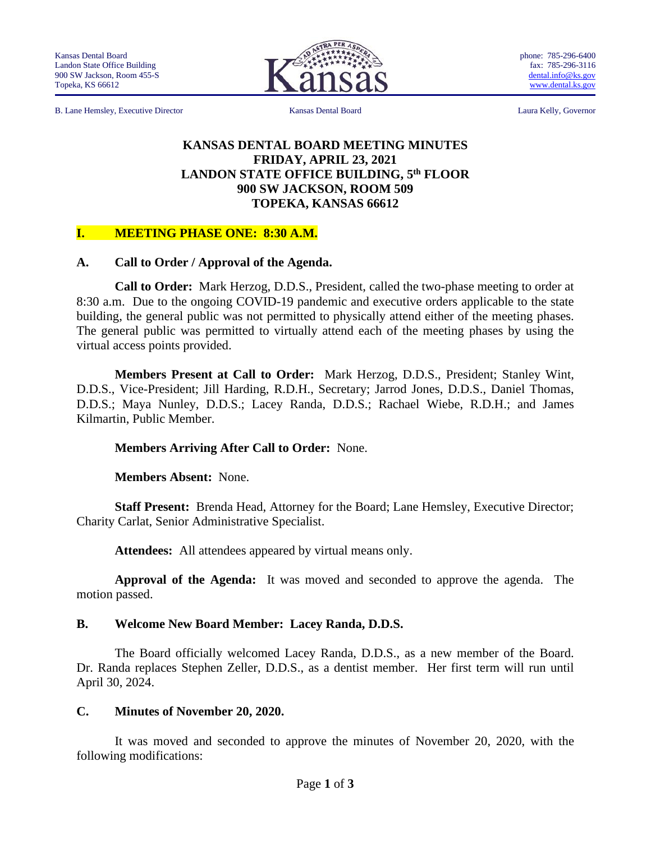

phone: 785-296-6400 fax: 785-296-3116 [dental.info@ks.gov](mailto:dental.info@ks.gov) [www.dental.ks.gov](http://www.dental.ks.gov/)

B. Lane Hemsley, Executive Director Kansas Dental Board Laura Kelly, Governor

### **KANSAS DENTAL BOARD MEETING MINUTES FRIDAY, APRIL 23, 2021 LANDON STATE OFFICE BUILDING, 5 th FLOOR 900 SW JACKSON, ROOM 509 TOPEKA, KANSAS 66612**

### **I. MEETING PHASE ONE: 8:30 A.M.**

### **A. Call to Order / Approval of the Agenda.**

**Call to Order:** Mark Herzog, D.D.S., President, called the two-phase meeting to order at 8:30 a.m. Due to the ongoing COVID-19 pandemic and executive orders applicable to the state building, the general public was not permitted to physically attend either of the meeting phases. The general public was permitted to virtually attend each of the meeting phases by using the virtual access points provided.

**Members Present at Call to Order:** Mark Herzog, D.D.S., President; Stanley Wint, D.D.S., Vice-President; Jill Harding, R.D.H., Secretary; Jarrod Jones, D.D.S., Daniel Thomas, D.D.S.; Maya Nunley, D.D.S.; Lacey Randa, D.D.S.; Rachael Wiebe, R.D.H.; and James Kilmartin, Public Member.

### **Members Arriving After Call to Order:** None.

**Members Absent:** None.

**Staff Present:** Brenda Head, Attorney for the Board; Lane Hemsley, Executive Director; Charity Carlat, Senior Administrative Specialist.

**Attendees:** All attendees appeared by virtual means only.

**Approval of the Agenda:** It was moved and seconded to approve the agenda. The motion passed.

### **B. Welcome New Board Member: Lacey Randa, D.D.S.**

The Board officially welcomed Lacey Randa, D.D.S., as a new member of the Board. Dr. Randa replaces Stephen Zeller, D.D.S., as a dentist member. Her first term will run until April 30, 2024.

### **C. Minutes of November 20, 2020.**

It was moved and seconded to approve the minutes of November 20, 2020, with the following modifications: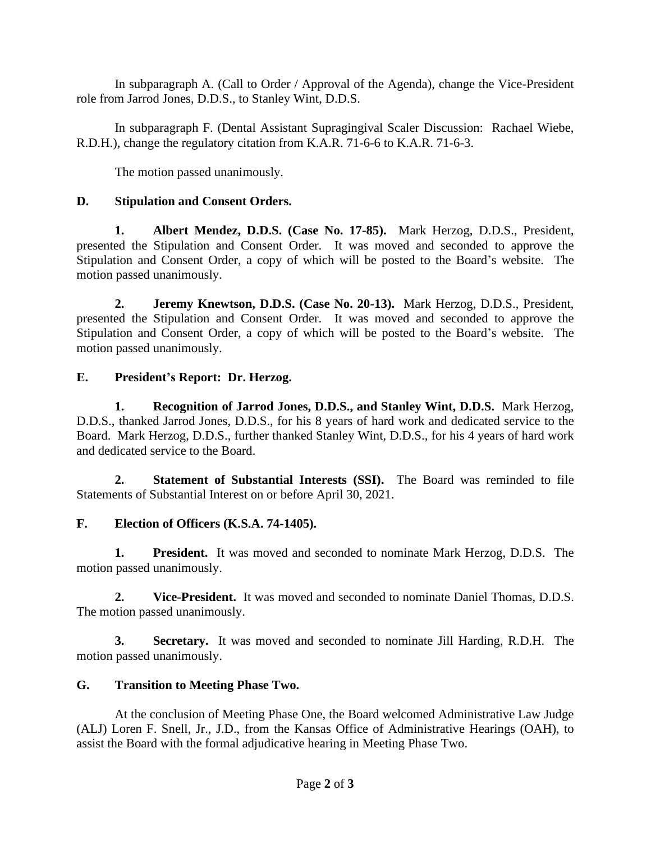In subparagraph A. (Call to Order / Approval of the Agenda), change the Vice-President role from Jarrod Jones, D.D.S., to Stanley Wint, D.D.S.

In subparagraph F. (Dental Assistant Supragingival Scaler Discussion: Rachael Wiebe, R.D.H.), change the regulatory citation from K.A.R. 71-6-6 to K.A.R. 71-6-3.

The motion passed unanimously.

# **D. Stipulation and Consent Orders.**

**1. Albert Mendez, D.D.S. (Case No. 17-85).** Mark Herzog, D.D.S., President, presented the Stipulation and Consent Order. It was moved and seconded to approve the Stipulation and Consent Order, a copy of which will be posted to the Board's website. The motion passed unanimously.

**2. Jeremy Knewtson, D.D.S. (Case No. 20-13).** Mark Herzog, D.D.S., President, presented the Stipulation and Consent Order. It was moved and seconded to approve the Stipulation and Consent Order, a copy of which will be posted to the Board's website. The motion passed unanimously.

# **E. President's Report: Dr. Herzog.**

**1. Recognition of Jarrod Jones, D.D.S., and Stanley Wint, D.D.S.** Mark Herzog, D.D.S., thanked Jarrod Jones, D.D.S., for his 8 years of hard work and dedicated service to the Board. Mark Herzog, D.D.S., further thanked Stanley Wint, D.D.S., for his 4 years of hard work and dedicated service to the Board.

**2. Statement of Substantial Interests (SSI).** The Board was reminded to file Statements of Substantial Interest on or before April 30, 2021.

# **F. Election of Officers (K.S.A. 74-1405).**

**1. President.** It was moved and seconded to nominate Mark Herzog, D.D.S. The motion passed unanimously.

**2. Vice-President.** It was moved and seconded to nominate Daniel Thomas, D.D.S. The motion passed unanimously.

**3. Secretary.** It was moved and seconded to nominate Jill Harding, R.D.H. The motion passed unanimously.

# **G. Transition to Meeting Phase Two.**

At the conclusion of Meeting Phase One, the Board welcomed Administrative Law Judge (ALJ) Loren F. Snell, Jr., J.D., from the Kansas Office of Administrative Hearings (OAH), to assist the Board with the formal adjudicative hearing in Meeting Phase Two.